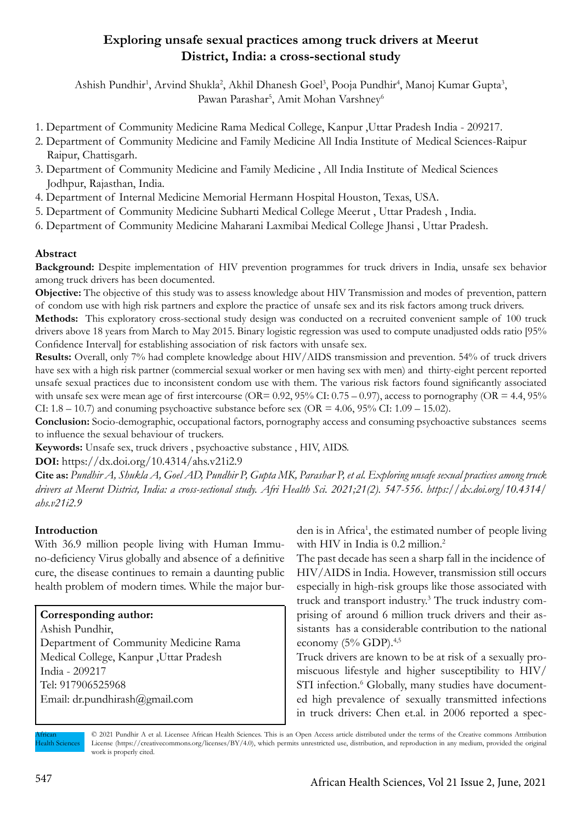## **Exploring unsafe sexual practices among truck drivers at Meerut District, India: a cross-sectional study**

Ashish Pundhir<sup>1</sup>, Arvind Shukla<sup>2</sup>, Akhil Dhanesh Goel<sup>3</sup>, Pooja Pundhir<sup>4</sup>, Manoj Kumar Gupta<sup>3</sup>, Pawan Parashar<sup>5</sup>, Amit Mohan Varshney<sup>6</sup>

- 1. Department of Community Medicine Rama Medical College, Kanpur ,Uttar Pradesh India 209217.
- 2. Department of Community Medicine and Family Medicine All India Institute of Medical Sciences-Raipur Raipur, Chattisgarh.
- 3. Department of Community Medicine and Family Medicine , All India Institute of Medical Sciences Jodhpur, Rajasthan, India.
- 4. Department of Internal Medicine Memorial Hermann Hospital Houston, Texas, USA.
- 5. Department of Community Medicine Subharti Medical College Meerut , Uttar Pradesh , India.
- 6. Department of Community Medicine Maharani Laxmibai Medical College Jhansi , Uttar Pradesh.

## **Abstract**

Background: Despite implementation of HIV prevention programmes for truck drivers in India, unsafe sex behavior among truck drivers has been documented.

**Objective:** The objective of this study was to assess knowledge about HIV Transmission and modes of prevention, pattern of condom use with high risk partners and explore the practice of unsafe sex and its risk factors among truck drivers.

**Methods:** This exploratory cross-sectional study design was conducted on a recruited convenient sample of 100 truck drivers above 18 years from March to May 2015. Binary logistic regression was used to compute unadjusted odds ratio [95% Confidence Interval] for establishing association of risk factors with unsafe sex.

Results: Overall, only 7% had complete knowledge about HIV/AIDS transmission and prevention. 54% of truck drivers have sex with a high risk partner (commercial sexual worker or men having sex with men) and thirty-eight percent reported unsafe sexual practices due to inconsistent condom use with them. The various risk factors found significantly associated with unsafe sex were mean age of first intercourse (OR=  $0.92$ ,  $95\%$  CI:  $0.75 - 0.97$ ), access to pornography (OR = 4.4,  $95\%$ CI:  $1.8 - 10.7$ ) and conuming psychoactive substance before sex (OR =  $4.06$ ,  $95\%$  CI:  $1.09 - 15.02$ ).

**Conclusion:** Socio-demographic, occupational factors, pornography access and consuming psychoactive substances seems to influence the sexual behaviour of truckers.

**Keywords:** Unsafe sex, truck drivers , psychoactive substance , HIV, AIDS.

**DOI:** https://dx.doi.org/10.4314/ahs.v21i2.9

**Cite as:** *Pundhir A, Shukla A, Goel AD, Pundhir P, Gupta MK, Parashar P, et al. Exploring unsafe sexual practices among truck drivers at Meerut District, India: a cross-sectional study. Afri Health Sci. 2021;21(2). 547-556. https://dx.doi.org/10.4314/ ahs.v21i2.9*

## **Introduction**

With 36.9 million people living with Human Immuno-deficiency Virus globally and absence of a definitive cure, the disease continues to remain a daunting public health problem of modern times. While the major bur-

## **Corresponding author:**

Ashish Pundhir, Department of Community Medicine Rama Medical College, Kanpur ,Uttar Pradesh India - 209217 Tel: 917906525968 Email: dr.pundhirash@gmail.com

den is in Africa<sup>1</sup>, the estimated number of people living with HIV in India is 0.2 million.<sup>2</sup>

The past decade has seen a sharp fall in the incidence of HIV/AIDS in India. However, transmission still occurs especially in high-risk groups like those associated with truck and transport industry.3 The truck industry comprising of around 6 million truck drivers and their assistants has a considerable contribution to the national economy  $(5%$  GDP).<sup>4,5</sup>

Truck drivers are known to be at risk of a sexually promiscuous lifestyle and higher susceptibility to HIV/ STI infection.<sup>6</sup> Globally, many studies have documented high prevalence of sexually transmitted infections in truck drivers: Chen et.al. in 2006 reported a spec-

African **Health Sciences**  © 2021 Pundhir A et al. Licensee African Health Sciences. This is an Open Access article distributed under the terms of the Creative commons Attribution License (https://creativecommons.org/licenses/BY/4.0), which permits unrestricted use, distribution, and reproduction in any medium, provided the original work is properly cited.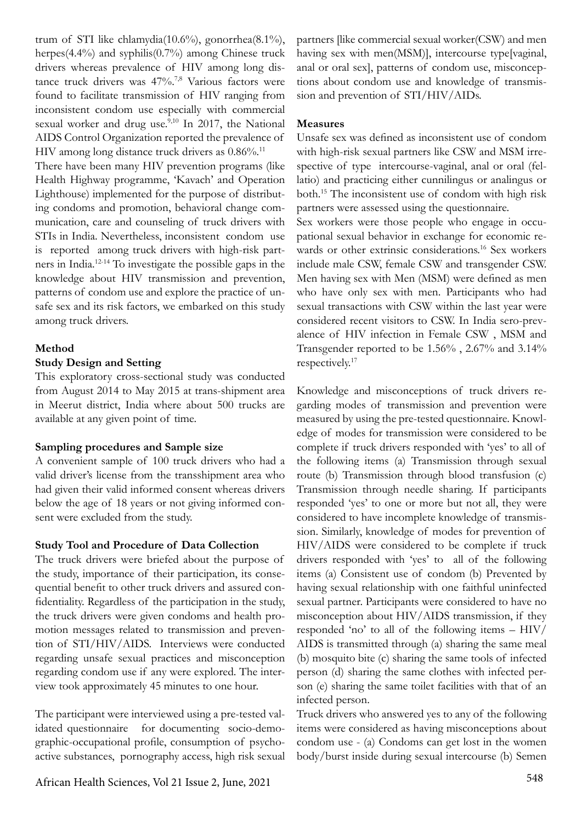trum of STI like chlamydia(10.6%), gonorrhea(8.1%), herpes(4.4%) and syphilis(0.7%) among Chinese truck drivers whereas prevalence of HIV among long distance truck drivers was 47%.<sup>7,8</sup> Various factors were found to facilitate transmission of HIV ranging from inconsistent condom use especially with commercial sexual worker and drug use.<sup>9,10</sup> In 2017, the National AIDS Control Organization reported the prevalence of HIV among long distance truck drivers as  $0.86\%$ .<sup>11</sup>

There have been many HIV prevention programs (like Health Highway programme, 'Kavach' and Operation Lighthouse) implemented for the purpose of distributing condoms and promotion, behavioral change communication, care and counseling of truck drivers with STIs in India. Nevertheless, inconsistent condom use is reported among truck drivers with high-risk partners in India.12-14 To investigate the possible gaps in the knowledge about HIV transmission and prevention, patterns of condom use and explore the practice of unsafe sex and its risk factors, we embarked on this study among truck drivers.

#### **Method**

#### **Study Design and Setting**

This exploratory cross-sectional study was conducted from August 2014 to May 2015 at trans-shipment area in Meerut district, India where about 500 trucks are available at any given point of time.

#### **Sampling procedures and Sample size**

A convenient sample of 100 truck drivers who had a valid driver's license from the transshipment area who had given their valid informed consent whereas drivers below the age of 18 years or not giving informed consent were excluded from the study.

#### **Study Tool and Procedure of Data Collection**

The truck drivers were briefed about the purpose of the study, importance of their participation, its consequential benefit to other truck drivers and assured confidentiality. Regardless of the participation in the study, the truck drivers were given condoms and health promotion messages related to transmission and prevention of STI/HIV/AIDS. Interviews were conducted regarding unsafe sexual practices and misconception regarding condom use if any were explored. The interview took approximately 45 minutes to one hour.

The participant were interviewed using a pre-tested validated questionnaire for documenting socio-demographic-occupational profile, consumption of psychoactive substances, pornography access, high risk sexual

partners [like commercial sexual worker(CSW) and men having sex with men(MSM)], intercourse type[vaginal, anal or oral sex], patterns of condom use, misconceptions about condom use and knowledge of transmission and prevention of STI/HIV/AIDs.

#### **Measures**

Unsafe sex was defined as inconsistent use of condom with high-risk sexual partners like CSW and MSM irrespective of type intercourse-vaginal, anal or oral (fellatio) and practicing either cunnilingus or analingus or both.15 The inconsistent use of condom with high risk partners were assessed using the questionnaire.

Sex workers were those people who engage in occupational sexual behavior in exchange for economic rewards or other extrinsic considerations.<sup>16</sup> Sex workers include male CSW, female CSW and transgender CSW. Men having sex with Men (MSM) were defined as men who have only sex with men. Participants who had sexual transactions with CSW within the last year were considered recent visitors to CSW. In India sero-prevalence of HIV infection in Female CSW , MSM and Transgender reported to be 1.56% , 2.67% and 3.14% respectively.17

Knowledge and misconceptions of truck drivers regarding modes of transmission and prevention were measured by using the pre-tested questionnaire. Knowledge of modes for transmission were considered to be complete if truck drivers responded with 'yes' to all of the following items (a) Transmission through sexual route (b) Transmission through blood transfusion (c) Transmission through needle sharing. If participants responded 'yes' to one or more but not all, they were considered to have incomplete knowledge of transmission. Similarly, knowledge of modes for prevention of HIV/AIDS were considered to be complete if truck drivers responded with 'yes' to all of the following items (a) Consistent use of condom (b) Prevented by having sexual relationship with one faithful uninfected sexual partner. Participants were considered to have no misconception about HIV/AIDS transmission, if they responded 'no' to all of the following items – HIV/ AIDS is transmitted through (a) sharing the same meal (b) mosquito bite (c) sharing the same tools of infected person (d) sharing the same clothes with infected person (e) sharing the same toilet facilities with that of an infected person.

Truck drivers who answered yes to any of the following items were considered as having misconceptions about condom use - (a) Condoms can get lost in the women body/burst inside during sexual intercourse (b) Semen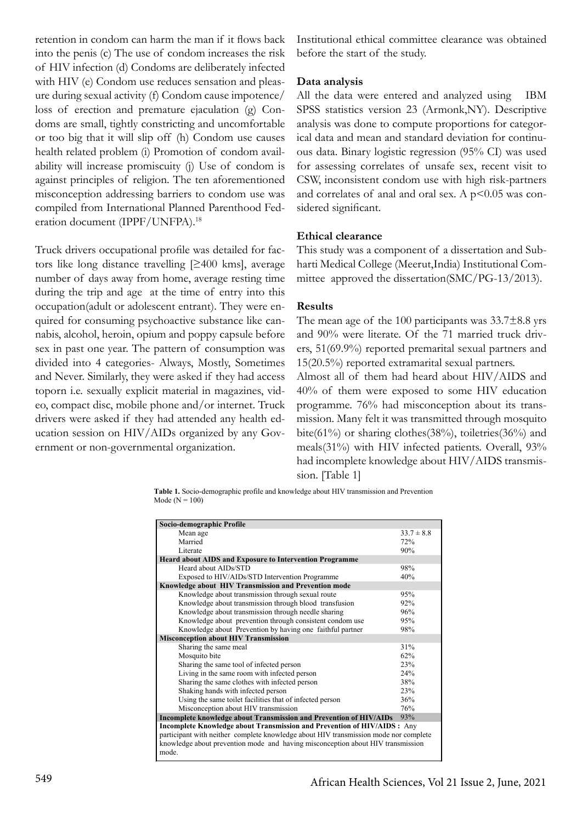retention in condom can harm the man if it flows back into the penis (c) The use of condom increases the risk of HIV infection (d) Condoms are deliberately infected with HIV (e) Condom use reduces sensation and pleasure during sexual activity (f) Condom cause impotence/ loss of erection and premature ejaculation (g) Condoms are small, tightly constricting and uncomfortable or too big that it will slip off (h) Condom use causes health related problem (i) Promotion of condom availability will increase promiscuity (j) Use of condom is against principles of religion. The ten aforementioned misconception addressing barriers to condom use was compiled from International Planned Parenthood Federation document (IPPF/UNFPA).18

Truck drivers occupational profile was detailed for factors like long distance travelling [≥400 kms], average number of days away from home, average resting time during the trip and age at the time of entry into this occupation(adult or adolescent entrant). They were enquired for consuming psychoactive substance like cannabis, alcohol, heroin, opium and poppy capsule before sex in past one year. The pattern of consumption was divided into 4 categories- Always, Mostly, Sometimes and Never. Similarly, they were asked if they had access toporn i.e. sexually explicit material in magazines, video, compact disc, mobile phone and/or internet. Truck drivers were asked if they had attended any health education session on HIV/AIDs organized by any Government or non-governmental organization.

Institutional ethical committee clearance was obtained before the start of the study.

#### **Data analysis**

All the data were entered and analyzed using IBM SPSS statistics version 23 (Armonk,NY). Descriptive analysis was done to compute proportions for categorical data and mean and standard deviation for continuous data. Binary logistic regression (95% CI) was used for assessing correlates of unsafe sex, recent visit to CSW, inconsistent condom use with high risk-partners and correlates of anal and oral sex. A  $p$ <0.05 was considered significant.

#### **Ethical clearance**

This study was a component of a dissertation and Subharti Medical College (Meerut,India) Institutional Committee approved the dissertation(SMC/PG-13/2013).

#### **Results**

The mean age of the 100 participants was  $33.7\pm8.8$  yrs and 90% were literate. Of the 71 married truck drivers, 51(69.9%) reported premarital sexual partners and 15(20.5%) reported extramarital sexual partners.

Almost all of them had heard about HIV/AIDS and 40% of them were exposed to some HIV education programme. 76% had misconception about its transmission. Many felt it was transmitted through mosquito bite(61%) or sharing clothes(38%), toiletries(36%) and meals(31%) with HIV infected patients. Overall, 93% had incomplete knowledge about HIV/AIDS transmission. [Table 1]

**Table 1.** Socio-demographic profile and knowledge about HIV transmission and Prevention Mode ( $N = 100$ )

| Socio-demographic Profile                                                            |                |
|--------------------------------------------------------------------------------------|----------------|
| Mean age                                                                             | $33.7 \pm 8.8$ |
| Married                                                                              | 72%            |
| Literate                                                                             | 90%            |
| <b>Heard about AIDS and Exposure to Intervention Programme</b>                       |                |
| Heard about AIDs/STD                                                                 | 98%            |
| Exposed to HIV/AIDs/STD Intervention Programme                                       | 40%            |
| Knowledge about HIV Transmission and Prevention mode                                 |                |
| Knowledge about transmission through sexual route                                    | 95%            |
| Knowledge about transmission through blood transfusion                               | 92%            |
| Knowledge about transmission through needle sharing                                  | 96%            |
| Knowledge about prevention through consistent condom use                             | 95%            |
| Knowledge about Prevention by having one faithful partner                            | 98%            |
| <b>Misconception about HIV Transmission</b>                                          |                |
| Sharing the same meal                                                                | 31%            |
| Mosquito bite                                                                        | 62%            |
| Sharing the same tool of infected person                                             | 23%            |
| Living in the same room with infected person                                         | 24%            |
| Sharing the same clothes with infected person                                        | 38%            |
| Shaking hands with infected person                                                   | 23%            |
| Using the same toilet facilities that of infected person                             | 36%            |
| Misconception about HIV transmission                                                 | 76%            |
| Incomplete knowledge about Transmission and Prevention of HIV/AIDs                   | 93%            |
| Incomplete Knowledge about Transmission and Prevention of HIV/AIDS : Any             |                |
| participant with neither complete knowledge about HIV transmission mode nor complete |                |
| knowledge about prevention mode and having misconception about HIV transmission      |                |
| mode.                                                                                |                |
|                                                                                      |                |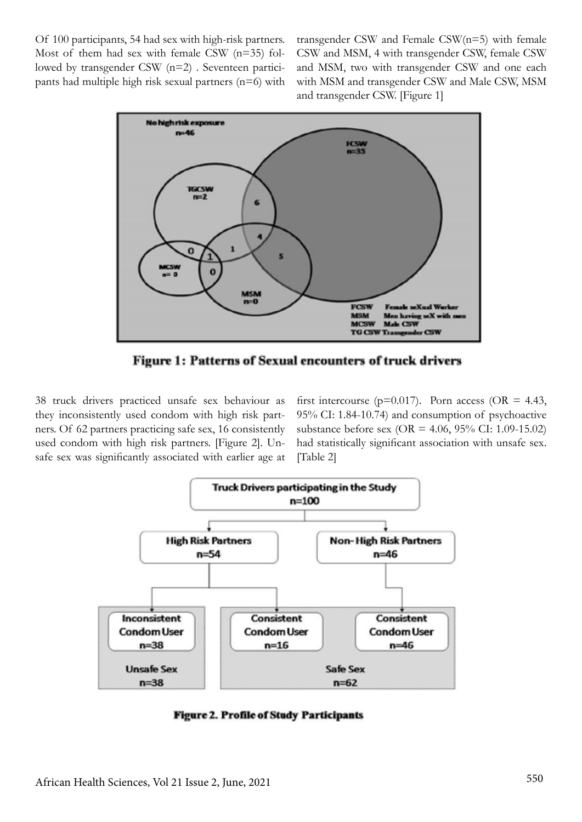Of 100 participants, 54 had sex with high-risk partners. Most of them had sex with female CSW  $(n=35)$  followed by transgender CSW (n=2) . Seventeen participants had multiple high risk sexual partners (n=6) with transgender CSW and Female CSW(n=5) with female CSW and MSM, 4 with transgender CSW, female CSW and MSM, two with transgender CSW and one each with MSM and transgender CSW and Male CSW, MSM and transgender CSW. [Figure 1]



**Figure 1: Patterns of Sexual encounters of truck drivers** 

38 truck drivers practiced unsafe sex behaviour as they inconsistently used condom with high risk partners. Of 62 partners practicing safe sex, 16 consistently used condom with high risk partners. [Figure 2]. Unsafe sex was significantly associated with earlier age at

first intercourse ( $p=0.017$ ). Porn access (OR = 4.43, 95% CI: 1.84-10.74) and consumption of psychoactive substance before sex (OR = 4.06, 95% CI: 1.09-15.02) had statistically significant association with unsafe sex. [Table 2]



**Figure 2. Profile of Study Participants**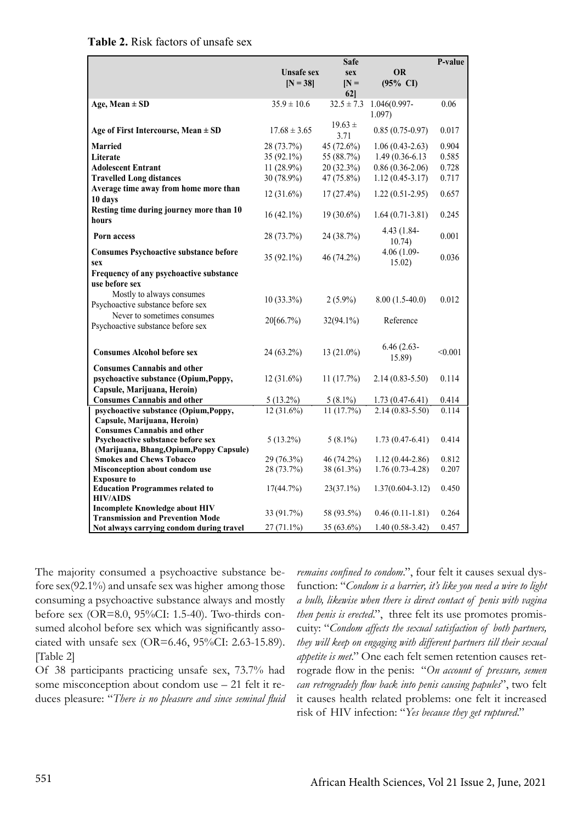|                                                              | <b>Safe</b>       |                |                      | P-value |
|--------------------------------------------------------------|-------------------|----------------|----------------------|---------|
|                                                              | <b>Unsafe sex</b> | sex            | <b>OR</b>            |         |
|                                                              | $[N = 38]$        | $N =$          | $(95\% \text{ CI})$  |         |
|                                                              |                   | $62$ ]         |                      |         |
| Age, Mean $\pm$ SD                                           | $35.9 \pm 10.6$   | $32.5 \pm 7.3$ | 1.046(0.997-         | 0.06    |
|                                                              |                   |                | $1.097$ )            |         |
|                                                              | $17.68 \pm 3.65$  | $19.63 \pm$    |                      |         |
| Age of First Intercourse, Mean $\pm$ SD                      |                   | 3.71           | $0.85(0.75-0.97)$    | 0.017   |
| Married                                                      | 28 (73.7%)        | 45 (72.6%)     | $1.06(0.43-2.63)$    | 0.904   |
| Literate                                                     | $35(92.1\%)$      | 55 (88.7%)     | $1.49(0.36-6.13)$    | 0.585   |
| <b>Adolescent Entrant</b>                                    | $11(28.9\%)$      | 20 (32.3%)     | $0.86(0.36-2.06)$    | 0.728   |
| <b>Travelled Long distances</b>                              | 30 (78.9%)        | 47 (75.8%)     | $1.12(0.45-3.17)$    | 0.717   |
| Average time away from home more than                        |                   |                |                      |         |
| 10 days                                                      | $12(31.6\%)$      | $17(27.4\%)$   | $1.22(0.51-2.95)$    | 0.657   |
| Resting time during journey more than 10                     |                   |                |                      |         |
| hours                                                        | $16(42.1\%)$      | $19(30.6\%)$   | $1.64(0.71-3.81)$    | 0.245   |
|                                                              |                   |                | 4.43 (1.84-          |         |
| Porn access                                                  | 28 (73.7%)        | 24 (38.7%)     | 10.74)               | 0.001   |
| <b>Consumes Psychoactive substance before</b>                |                   |                | 4.06 (1.09-          |         |
| sex                                                          | 35 (92.1%)        | 46 (74.2%)     | 15.02)               | 0.036   |
| Frequency of any psychoactive substance                      |                   |                |                      |         |
| use before sex                                               |                   |                |                      |         |
| Mostly to always consumes                                    |                   |                |                      |         |
|                                                              | $10(33.3\%)$      | $2(5.9\%)$     | $8.00(1.5-40.0)$     | 0.012   |
| Psychoactive substance before sex                            |                   |                |                      |         |
| Never to sometimes consumes                                  | 20[66.7%)         | $32(94.1\%)$   | Reference            |         |
| Psychoactive substance before sex                            |                   |                |                      |         |
|                                                              |                   |                |                      |         |
| <b>Consumes Alcohol before sex</b>                           | 24 (63.2%)        | $13(21.0\%)$   | $6.46(2.63 -$        | < 0.001 |
|                                                              |                   |                | 15.89)               |         |
| <b>Consumes Cannabis and other</b>                           |                   |                |                      |         |
| psychoactive substance (Opium, Poppy,                        | $12(31.6\%)$      | 11(17.7%)      | $2.14(0.83 - 5.50)$  | 0.114   |
| Capsule, Marijuana, Heroin)                                  |                   |                |                      |         |
| <b>Consumes Cannabis and other</b>                           | $5(13.2\%)$       | $5(8.1\%)$     | $1.73(0.47-6.41)$    | 0.414   |
| psychoactive substance (Opium, Poppy,                        | $12(31.6\%)$      | 11(17.7%)      | $2.14(0.83 - 5.50)$  | 0.114   |
| Capsule, Marijuana, Heroin)                                  |                   |                |                      |         |
| <b>Consumes Cannabis and other</b>                           |                   |                |                      |         |
| <b>Psychoactive substance before sex</b>                     | $5(13.2\%)$       | $5(8.1\%)$     | $1.73(0.47-6.41)$    | 0.414   |
| (Marijuana, Bhang, Opium, Poppy Capsule)                     |                   |                |                      |         |
| <b>Smokes and Chews Tobacco</b>                              | 29 (76.3%)        | 46 (74.2%)     | $1.12(0.44 - 2.86)$  | 0.812   |
| Misconception about condom use                               | 28 (73.7%)        | 38 (61.3%)     | $1.76(0.73-4.28)$    | 0.207   |
| <b>Exposure to</b><br><b>Education Programmes related to</b> |                   | $23(37.1\%)$   | $1.37(0.604 - 3.12)$ | 0.450   |
| <b>HIV/AIDS</b>                                              | 17(44.7%)         |                |                      |         |
| <b>Incomplete Knowledge about HIV</b>                        |                   |                |                      |         |
| <b>Transmission and Prevention Mode</b>                      | 33 (91.7%)        | 58 (93.5%)     | $0.46(0.11-1.81)$    | 0.264   |
| Not always carrying condom during travel                     | $27(71.1\%)$      | 35 (63.6%)     | $1.40(0.58-3.42)$    | 0.457   |

The majority consumed a psychoactive substance before sex(92.1%) and unsafe sex was higher among those consuming a psychoactive substance always and mostly before sex (OR=8.0, 95%CI: 1.5-40). Two-thirds consumed alcohol before sex which was significantly associated with unsafe sex (OR=6.46, 95%CI: 2.63-15.89). [Table 2]

Of 38 participants practicing unsafe sex, 73.7% had some misconception about condom use – 21 felt it reduces pleasure: "*There is no pleasure and since seminal fluid*  *remains confined to condom*.", four felt it causes sexual dysfunction: "*Condom is a barrier, it's like you need a wire to light a bulb, likewise when there is direct contact of penis with vagina then penis is erected*.", three felt its use promotes promiscuity: "*Condom affects the sexual satisfaction of both partners, they will keep on engaging with different partners till their sexual appetite is met*." One each felt semen retention causes retrograde flow in the penis: "*On account of pressure, semen can retrogradely flow back into penis causing papules*", two felt it causes health related problems: one felt it increased risk of HIV infection: "*Yes because they get ruptured*."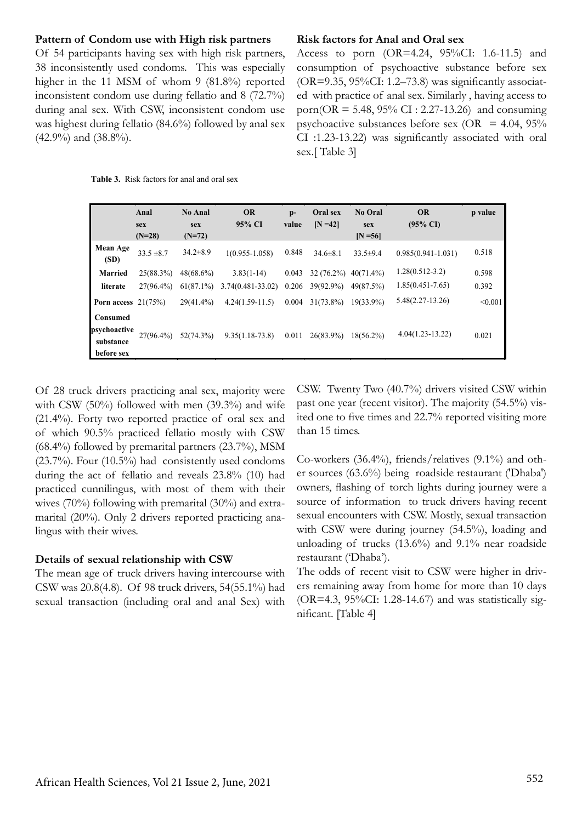#### **Pattern of Condom use with High risk partners**

Of 54 participants having sex with high risk partners, 38 inconsistently used condoms. This was especially higher in the 11 MSM of whom 9 (81.8%) reported inconsistent condom use during fellatio and 8 (72.7%) during anal sex. With CSW, inconsistent condom use was highest during fellatio (84.6%) followed by anal sex (42.9%) and (38.8%).

# **Table 3.** Risk factors for anal and oral sex

#### **Risk factors for Anal and Oral sex**

Access to porn (OR=4.24, 95%CI: 1.6-11.5) and consumption of psychoactive substance before sex  $(OR=9.35, 95\%CI: 1.2–73.8)$  was significantly associated with practice of anal sex. Similarly , having access to porn( $OR = 5.48$ ,  $95\%$  CI : 2.27-13.26) and consuming psychoactive substances before sex (OR =  $4.04$ ,  $95\%$ ) CI :1.23-13.22) was significantly associated with oral sex.[ Table 3]

|                                                     | Anal<br>sex<br>$(N=28)$   | <b>No Anal</b><br>sex<br>$(N=72)$ | <b>OR</b><br>95% CI               | $p-$<br>value  | Oral sex<br>$[N=42]$      | No Oral<br>sex<br>$[N = 56]$ | <b>OR</b><br>$(95\% \text{ CI})$            | p value        |
|-----------------------------------------------------|---------------------------|-----------------------------------|-----------------------------------|----------------|---------------------------|------------------------------|---------------------------------------------|----------------|
| Mean Age<br>(SD)                                    | $33.5 \pm 8.7$            | $34.2 \pm 8.9$                    | $1(0.955 - 1.058)$                | 0.848          | $34.6 \pm 8.1$            | $33.5+9.4$                   | $0.985(0.941 - 1.031)$                      | 0.518          |
| <b>Married</b><br>literate                          | 25(88.3%)<br>$27(96.4\%)$ | $48(68.6\%)$<br>$61(87.1\%)$      | $3.83(1-14)$<br>3.74(0.481-33.02) | 0.043<br>0.206 | $32(76.2\%)$<br>39(92.9%) | $40(71.4\%)$<br>49(87.5%)    | $1.28(0.512 - 3.2)$<br>$1.85(0.451 - 7.65)$ | 0.598<br>0.392 |
| Porn access $21(75%)$                               |                           | $29(41.4\%)$                      | $4.24(1.59-11.5)$                 | 0.004          | $31(73.8\%)$              | $19(33.9\%)$                 | $5.48(2.27-13.26)$                          | < 0.001        |
| Consumed<br>psychoactive<br>substance<br>before sex | 27(96.4%)                 | 52(74.3%)                         | $9.35(1.18-73.8)$                 | 0.011          | $26(83.9\%)$              | $18(56.2\%)$                 | $4.04(1.23 - 13.22)$                        | 0.021          |

Of 28 truck drivers practicing anal sex, majority were with CSW (50%) followed with men (39.3%) and wife (21.4%). Forty two reported practice of oral sex and of which 90.5% practiced fellatio mostly with CSW  $(68.4\%)$  followed by premarital partners  $(23.7\%)$ , MSM (23.7%). Four (10.5%) had consistently used condoms during the act of fellatio and reveals 23.8% (10) had practiced cunnilingus, with most of them with their wives (70%) following with premarital (30%) and extramarital (20%). Only 2 drivers reported practicing analingus with their wives.

#### **Details of sexual relationship with CSW**

The mean age of truck drivers having intercourse with CSW was 20.8(4.8). Of 98 truck drivers, 54(55.1%) had sexual transaction (including oral and anal Sex) with CSW. Twenty Two (40.7%) drivers visited CSW within past one year (recent visitor). The majority (54.5%) visited one to five times and 22.7% reported visiting more than 15 times.

Co-workers (36.4%), friends/relatives (9.1%) and other sources (63.6%) being roadside restaurant ('Dhaba') owners, flashing of torch lights during journey were a source of information to truck drivers having recent sexual encounters with CSW. Mostly, sexual transaction with CSW were during journey (54.5%), loading and unloading of trucks (13.6%) and 9.1% near roadside restaurant ('Dhaba').

The odds of recent visit to CSW were higher in drivers remaining away from home for more than 10 days ( $OR=4.3$ ,  $95\%CI: 1.28-14.67$ ) and was statistically significant. [Table 4]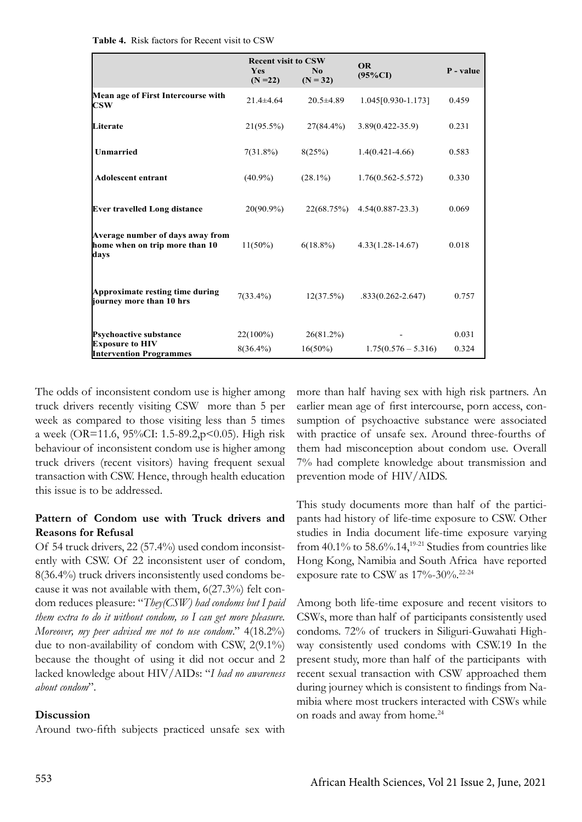**Table 4.** Risk factors for Recent visit to CSW

|                                                                            | <b>Recent visit to CSW</b><br><b>Yes</b><br>$(N = 22)$ | No.<br>$(N = 32)$ | <b>OR</b><br>$(95\%CI)$ | P - value |
|----------------------------------------------------------------------------|--------------------------------------------------------|-------------------|-------------------------|-----------|
| Mean age of First Intercourse with<br>$\bf{CSW}$                           | $21.4 \pm 4.64$                                        | $20.5 \pm 4.89$   | 1.045[0.930-1.173]      | 0.459     |
| Literate                                                                   | $21(95.5\%)$                                           | $27(84.4\%)$      | $3.89(0.422 - 35.9)$    | 0.231     |
| Unmarried                                                                  | $7(31.8\%)$                                            | 8(25%)            | $1.4(0.421 - 4.66)$     | 0.583     |
| <b>Adolescent entrant</b>                                                  | $(40.9\%)$                                             | $(28.1\%)$        | $1.76(0.562 - 5.572)$   | 0.330     |
| <b>Ever travelled Long distance</b>                                        | $20(90.9\%)$                                           | 22(68.75%)        | $4.54(0.887 - 23.3)$    | 0.069     |
| Average number of days away from<br>home when on trip more than 10<br>days | $11(50\%)$                                             | $6(18.8\%)$       | $4.33(1.28 - 14.67)$    | 0.018     |
| Approximate resting time during<br>journey more than 10 hrs                | $7(33.4\%)$                                            | 12(37.5%)         | $.833(0.262 - 2.647)$   | 0.757     |
| <b>Psychoactive substance</b><br><b>Exposure to HIV</b>                    | $22(100\%)$                                            | $26(81.2\%)$      |                         | 0.031     |
| <b>Intervention Programmes</b>                                             | $8(36.4\%)$                                            | $16(50\%)$        | $1.75(0.576 - 5.316)$   | 0.324     |

The odds of inconsistent condom use is higher among truck drivers recently visiting CSW more than 5 per week as compared to those visiting less than 5 times a week (OR=11.6, 95%CI: 1.5-89.2,p<0.05). High risk behaviour of inconsistent condom use is higher among truck drivers (recent visitors) having frequent sexual transaction with CSW. Hence, through health education this issue is to be addressed.

## **Pattern of Condom use with Truck drivers and Reasons for Refusal**

Of 54 truck drivers, 22 (57.4%) used condom inconsistently with CSW. Of 22 inconsistent user of condom, 8(36.4%) truck drivers inconsistently used condoms because it was not available with them, 6(27.3%) felt condom reduces pleasure: "*They(CSW) had condoms but I paid them extra to do it without condom, so I can get more pleasure. Moreover, my peer advised me not to use condom*." 4(18.2%) due to non-availability of condom with CSW, 2(9.1%) because the thought of using it did not occur and 2 lacked knowledge about HIV/AIDs: "*I had no awareness about condom*".

#### **Discussion**

Around two-fifth subjects practiced unsafe sex with

more than half having sex with high risk partners. An earlier mean age of first intercourse, porn access, consumption of psychoactive substance were associated with practice of unsafe sex. Around three-fourths of them had misconception about condom use. Overall 7% had complete knowledge about transmission and prevention mode of HIV/AIDS.

This study documents more than half of the participants had history of life-time exposure to CSW. Other studies in India document life-time exposure varying from  $40.1\%$  to  $58.6\%$ .  $14,19.21$  Studies from countries like Hong Kong, Namibia and South Africa have reported exposure rate to CSW as  $17\%$ -30%.<sup>22-24</sup>

Among both life-time exposure and recent visitors to CSWs, more than half of participants consistently used condoms. 72% of truckers in Siliguri-Guwahati Highway consistently used condoms with CSW.19 In the present study, more than half of the participants with recent sexual transaction with CSW approached them during journey which is consistent to findings from Namibia where most truckers interacted with CSWs while on roads and away from home.<sup>24</sup>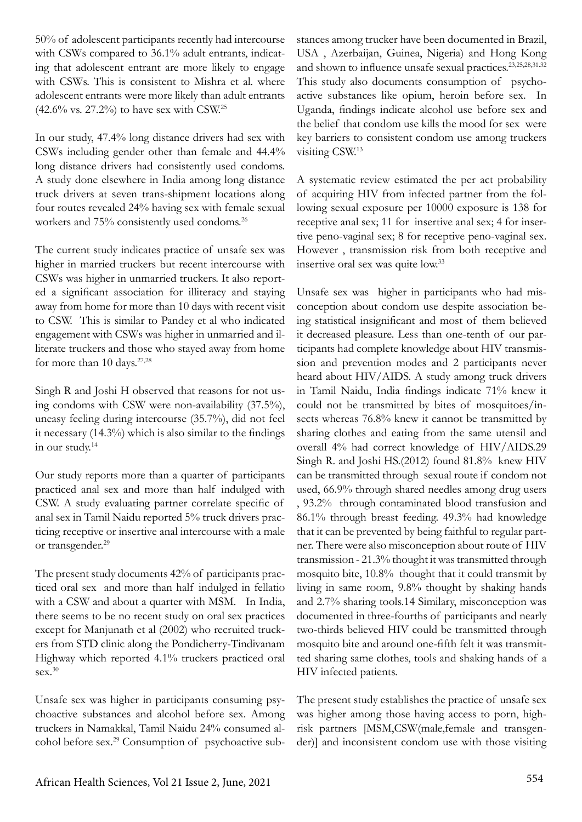50% of adolescent participants recently had intercourse with CSWs compared to 36.1% adult entrants, indicating that adolescent entrant are more likely to engage with CSWs. This is consistent to Mishra et al. where adolescent entrants were more likely than adult entrants (42.6% vs. 27.2%) to have sex with CSW.<sup>25</sup>

In our study, 47.4% long distance drivers had sex with CSWs including gender other than female and 44.4% long distance drivers had consistently used condoms. A study done elsewhere in India among long distance truck drivers at seven trans-shipment locations along four routes revealed 24% having sex with female sexual workers and 75% consistently used condoms.26

The current study indicates practice of unsafe sex was higher in married truckers but recent intercourse with CSWs was higher in unmarried truckers. It also reported a significant association for illiteracy and staying away from home for more than 10 days with recent visit to CSW. This is similar to Pandey et al who indicated engagement with CSWs was higher in unmarried and illiterate truckers and those who stayed away from home for more than 10 days.<sup>27,28</sup>

Singh R and Joshi H observed that reasons for not using condoms with CSW were non-availability (37.5%), uneasy feeling during intercourse (35.7%), did not feel it necessary (14.3%) which is also similar to the findings in our study.14

Our study reports more than a quarter of participants practiced anal sex and more than half indulged with CSW. A study evaluating partner correlate specific of anal sex in Tamil Naidu reported 5% truck drivers practicing receptive or insertive anal intercourse with a male or transgender.<sup>29</sup>

The present study documents 42% of participants practiced oral sex and more than half indulged in fellatio with a CSW and about a quarter with MSM. In India, there seems to be no recent study on oral sex practices except for Manjunath et al (2002) who recruited truckers from STD clinic along the Pondicherry-Tindivanam Highway which reported 4.1% truckers practiced oral sex.30

Unsafe sex was higher in participants consuming psychoactive substances and alcohol before sex. Among truckers in Namakkal, Tamil Naidu 24% consumed alcohol before sex.29 Consumption of psychoactive substances among trucker have been documented in Brazil, USA , Azerbaijan, Guinea, Nigeria) and Hong Kong and shown to influence unsafe sexual practices.23,25,28,31.32 This study also documents consumption of psychoactive substances like opium, heroin before sex. In Uganda, findings indicate alcohol use before sex and the belief that condom use kills the mood for sex were key barriers to consistent condom use among truckers visiting CSW.13

A systematic review estimated the per act probability of acquiring HIV from infected partner from the following sexual exposure per 10000 exposure is 138 for receptive anal sex; 11 for insertive anal sex; 4 for insertive peno-vaginal sex; 8 for receptive peno-vaginal sex. However , transmission risk from both receptive and insertive oral sex was quite low.33

Unsafe sex was higher in participants who had misconception about condom use despite association being statistical insignificant and most of them believed it decreased pleasure. Less than one-tenth of our participants had complete knowledge about HIV transmission and prevention modes and 2 participants never heard about HIV/AIDS. A study among truck drivers in Tamil Naidu, India findings indicate 71% knew it could not be transmitted by bites of mosquitoes/insects whereas 76.8% knew it cannot be transmitted by sharing clothes and eating from the same utensil and overall 4% had correct knowledge of HIV/AIDS.29 Singh R. and Joshi HS.(2012) found 81.8% knew HIV can be transmitted through sexual route if condom not used, 66.9% through shared needles among drug users , 93.2% through contaminated blood transfusion and 86.1% through breast feeding. 49.3% had knowledge that it can be prevented by being faithful to regular partner. There were also misconception about route of HIV transmission - 21.3% thought it was transmitted through mosquito bite, 10.8% thought that it could transmit by living in same room, 9.8% thought by shaking hands and 2.7% sharing tools.14 Similary, misconception was documented in three-fourths of participants and nearly two-thirds believed HIV could be transmitted through mosquito bite and around one-fifth felt it was transmitted sharing same clothes, tools and shaking hands of a HIV infected patients.

The present study establishes the practice of unsafe sex was higher among those having access to porn, highrisk partners [MSM,CSW(male,female and transgender)] and inconsistent condom use with those visiting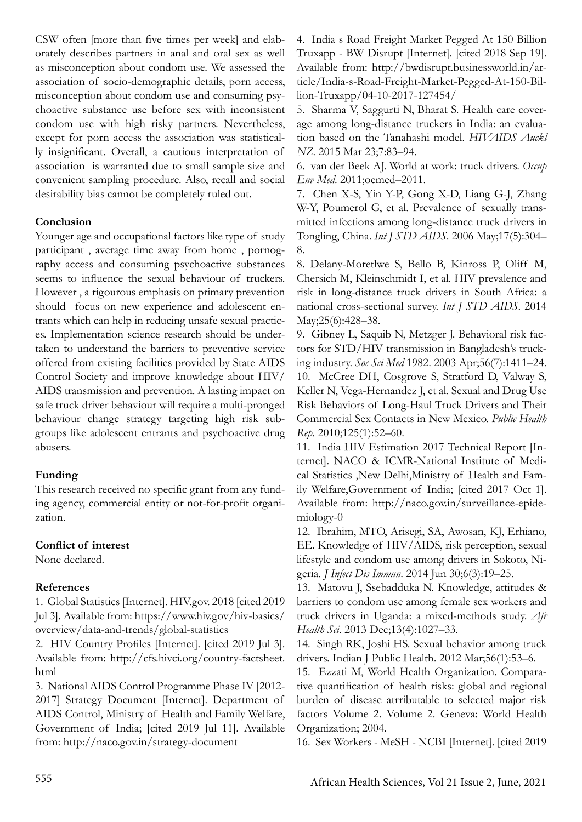CSW often [more than five times per week] and elaborately describes partners in anal and oral sex as well as misconception about condom use. We assessed the association of socio-demographic details, porn access, misconception about condom use and consuming psychoactive substance use before sex with inconsistent condom use with high risky partners. Nevertheless, except for porn access the association was statistically insignificant. Overall, a cautious interpretation of association is warranted due to small sample size and convenient sampling procedure. Also, recall and social desirability bias cannot be completely ruled out.

## **Conclusion**

Younger age and occupational factors like type of study participant , average time away from home , pornography access and consuming psychoactive substances seems to influence the sexual behaviour of truckers. However , a rigourous emphasis on primary prevention should focus on new experience and adolescent entrants which can help in reducing unsafe sexual practices. Implementation science research should be undertaken to understand the barriers to preventive service offered from existing facilities provided by State AIDS Control Society and improve knowledge about HIV/ AIDS transmission and prevention. A lasting impact on safe truck driver behaviour will require a multi-pronged behaviour change strategy targeting high risk subgroups like adolescent entrants and psychoactive drug abusers.

## **Funding**

This research received no specific grant from any funding agency, commercial entity or not-for-profit organization.

## **Conflict of interest**

None declared.

## **References**

1. Global Statistics [Internet]. HIV.gov. 2018 [cited 2019 Jul 3]. Available from: https://www.hiv.gov/hiv-basics/ overview/data-and-trends/global-statistics

2. HIV Country Profiles [Internet]. [cited 2019 Jul 3]. Available from: http://cfs.hivci.org/country-factsheet. html

3. National AIDS Control Programme Phase IV [2012- 2017] Strategy Document [Internet]. Department of AIDS Control, Ministry of Health and Family Welfare, Government of India; [cited 2019 Jul 11]. Available from: http://naco.gov.in/strategy-document

4. India s Road Freight Market Pegged At 150 Billion Truxapp - BW Disrupt [Internet]. [cited 2018 Sep 19]. Available from: http://bwdisrupt.businessworld.in/article/India-s-Road-Freight-Market-Pegged-At-150-Billion-Truxapp/04-10-2017-127454/

5. Sharma V, Saggurti N, Bharat S. Health care coverage among long-distance truckers in India: an evaluation based on the Tanahashi model. *HIVAIDS Auckl NZ*. 2015 Mar 23;7:83–94.

6. van der Beek AJ. World at work: truck drivers. *Occup Env Med*. 2011;oemed–2011.

7. Chen X-S, Yin Y-P, Gong X-D, Liang G-J, Zhang W-Y, Poumerol G, et al. Prevalence of sexually transmitted infections among long-distance truck drivers in Tongling, China. *Int J STD AIDS*. 2006 May;17(5):304– 8.

8. Delany-Moretlwe S, Bello B, Kinross P, Oliff M, Chersich M, Kleinschmidt I, et al. HIV prevalence and risk in long-distance truck drivers in South Africa: a national cross-sectional survey. *Int J STD AIDS*. 2014 May;25(6):428–38.

9. Gibney L, Saquib N, Metzger J. Behavioral risk factors for STD/HIV transmission in Bangladesh's trucking industry. *Soc Sci Med* 1982. 2003 Apr;56(7):1411–24. 10. McCree DH, Cosgrove S, Stratford D, Valway S, Keller N, Vega-Hernandez J, et al. Sexual and Drug Use Risk Behaviors of Long-Haul Truck Drivers and Their Commercial Sex Contacts in New Mexico. *Public Health Rep*. 2010;125(1):52–60.

11. India HIV Estimation 2017 Technical Report [Internet]. NACO & ICMR-National Institute of Medical Statistics ,New Delhi,Ministry of Health and Family Welfare,Government of India; [cited 2017 Oct 1]. Available from: http://naco.gov.in/surveillance-epidemiology-0

12. Ibrahim, MTO, Arisegi, SA, Awosan, KJ, Erhiano, EE. Knowledge of HIV/AIDS, risk perception, sexual lifestyle and condom use among drivers in Sokoto, Nigeria. *J Infect Dis Immun*. 2014 Jun 30;6(3):19–25.

13. Matovu J, Ssebadduka N. Knowledge, attitudes & barriers to condom use among female sex workers and truck drivers in Uganda: a mixed-methods study. *Afr Health Sci*. 2013 Dec;13(4):1027–33.

14. Singh RK, Joshi HS. Sexual behavior among truck drivers. Indian J Public Health. 2012 Mar;56(1):53-6.

15. Ezzati M, World Health Organization. Comparative quantification of health risks: global and regional burden of disease atrributable to selected major risk factors Volume 2. Volume 2. Geneva: World Health Organization; 2004.

16. Sex Workers - MeSH - NCBI [Internet]. [cited 2019